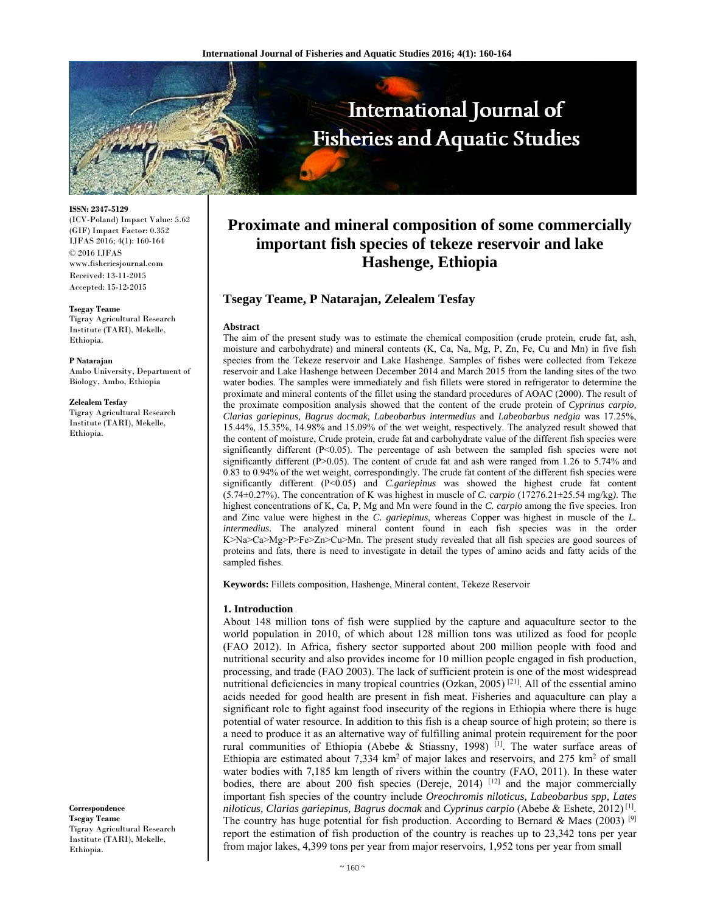

**ISSN: 2347-5129** 

(ICV-Poland) Impact Value: 5.62 (GIF) Impact Factor: 0.352 IJFAS 2016; 4(1): 160-164 © 2016 IJFAS www.fisheriesjournal.com Received: 13-11-2015 Accepted: 15-12-2015

#### **Tsegay Teame**

Tigray Agricultural Research Institute (TARI), Mekelle, Ethiopia.

**P Natarajan** 

Ambo University, Department of Biology, Ambo, Ethiopia

**Zelealem Tesfay**

Tigray Agricultural Research Institute (TARI), Mekelle, Ethiopia.

**Correspondence Tsegay Teame**  Tigray Agricultural Research Institute (TARI), Mekelle, Ethiopia.

# **Proximate and mineral composition of some commercially important fish species of tekeze reservoir and lake Hashenge, Ethiopia**

# **Tsegay Teame, P Natarajan, Zelealem Tesfay**

#### **Abstract**

The aim of the present study was to estimate the chemical composition (crude protein, crude fat, ash, moisture and carbohydrate) and mineral contents (K, Ca, Na, Mg, P, Zn, Fe, Cu and Mn) in five fish species from the Tekeze reservoir and Lake Hashenge. Samples of fishes were collected from Tekeze reservoir and Lake Hashenge between December 2014 and March 2015 from the landing sites of the two water bodies. The samples were immediately and fish fillets were stored in refrigerator to determine the proximate and mineral contents of the fillet using the standard procedures of AOAC (2000). The result of the proximate composition analysis showed that the content of the crude protein of *Cyprinus carpio, Clarias gariepinus, Bagrus docmak, Labeobarbus intermedius* and *Labeobarbus nedgia* was 17.25%, 15.44%, 15.35%, 14.98% and 15.09% of the wet weight, respectively. The analyzed result showed that the content of moisture, Crude protein, crude fat and carbohydrate value of the different fish species were significantly different  $(P<0.05)$ . The percentage of ash between the sampled fish species were not significantly different (P $>0.05$ ). The content of crude fat and ash were ranged from 1.26 to 5.74% and 0.83 to 0.94% of the wet weight, correspondingly. The crude fat content of the different fish species were significantly different (P<0.05) and *C.gariepinus* was showed the highest crude fat content (5.74±0.27%). The concentration of K was highest in muscle of *C. carpio* (17276.21±25.54 mg/kg*)*. The highest concentrations of K, Ca, P, Mg and Mn were found in the *C. carpio* among the five species. Iron and Zinc value were highest in the *C. gariepinus*, whereas Copper was highest in muscle of the *L. intermedius.* The analyzed mineral content found in each fish species was in the order K>Na>Ca>Mg>P>Fe>Zn>Cu>Mn. The present study revealed that all fish species are good sources of proteins and fats, there is need to investigate in detail the types of amino acids and fatty acids of the sampled fishes.

**Keywords:** Fillets composition, Hashenge, Mineral content, Tekeze Reservoir

# **1. Introduction**

About 148 million tons of fish were supplied by the capture and aquaculture sector to the world population in 2010, of which about 128 million tons was utilized as food for people (FAO 2012). In Africa, fishery sector supported about 200 million people with food and nutritional security and also provides income for 10 million people engaged in fish production, processing, and trade (FAO 2003). The lack of sufficient protein is one of the most widespread nutritional deficiencies in many tropical countries (Ozkan, 2005)<sup>[21]</sup>. All of the essential amino acids needed for good health are present in fish meat. Fisheries and aquaculture can play a significant role to fight against food insecurity of the regions in Ethiopia where there is huge potential of water resource. In addition to this fish is a cheap source of high protein; so there is a need to produce it as an alternative way of fulfilling animal protein requirement for the poor rural communities of Ethiopia (Abebe & Stiassny, 1998)<sup>[1]</sup>. The water surface areas of Ethiopia are estimated about  $7,334 \text{ km}^2$  of major lakes and reservoirs, and  $275 \text{ km}^2$  of small water bodies with 7,185 km length of rivers within the country (FAO, 2011). In these water bodies, there are about 200 fish species (Dereje, 2014)  $[12]$  and the major commercially important fish species of the country include *Oreochromis niloticus, Labeobarbus spp, Lates niloticus, Clarias gariepinus, Bagrus docmak* and *Cyprinus carpio* (Abebe & Eshete, 2012) [1]. The country has huge potential for fish production. According to Bernard *&* Maes (2003) [9] report the estimation of fish production of the country is reaches up to 23,342 tons per year from major lakes, 4,399 tons per year from major reservoirs, 1,952 tons per year from small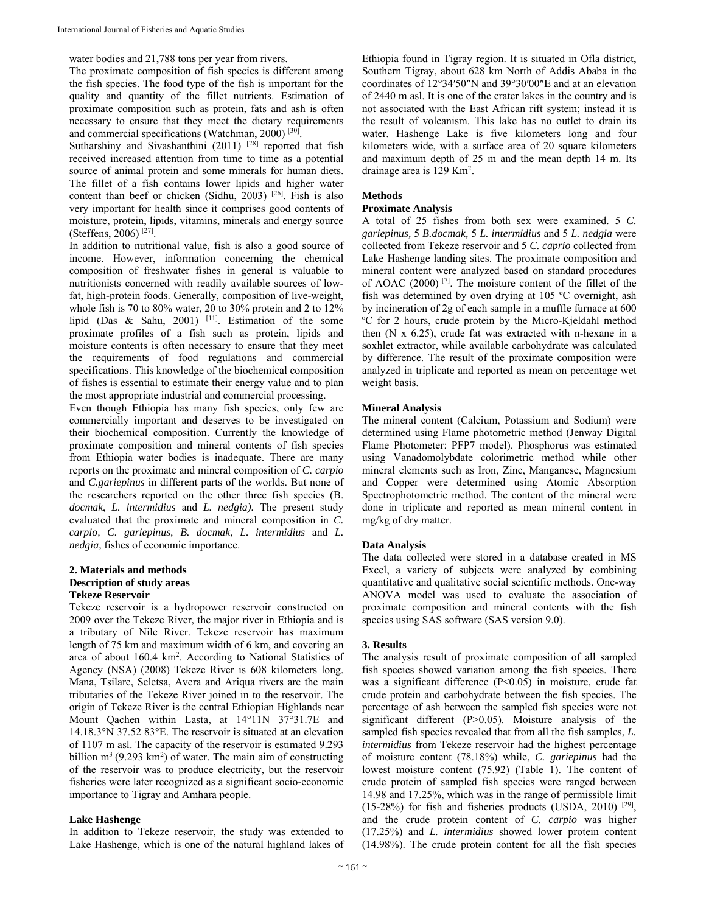water bodies and 21,788 tons per year from rivers.

The proximate composition of fish species is different among the fish species. The food type of the fish is important for the quality and quantity of the fillet nutrients. Estimation of proximate composition such as protein, fats and ash is often necessary to ensure that they meet the dietary requirements and commercial specifications (Watchman, 2000) [30].

Sutharshiny and Sivashanthini (2011)  $[28]$  reported that fish received increased attention from time to time as a potential source of animal protein and some minerals for human diets. The fillet of a fish contains lower lipids and higher water content than beef or chicken (Sidhu, 2003) <sup>[26]</sup>. Fish is also very important for health since it comprises good contents of moisture, protein, lipids, vitamins, minerals and energy source (Steffens, 2006) [27].

In addition to nutritional value, fish is also a good source of income. However, information concerning the chemical composition of freshwater fishes in general is valuable to nutritionists concerned with readily available sources of lowfat, high-protein foods. Generally, composition of live-weight, whole fish is 70 to 80% water, 20 to 30% protein and 2 to 12% lipid (Das & Sahu, 2001) [11]. Estimation of the some proximate profiles of a fish such as protein, lipids and moisture contents is often necessary to ensure that they meet the requirements of food regulations and commercial specifications. This knowledge of the biochemical composition of fishes is essential to estimate their energy value and to plan the most appropriate industrial and commercial processing.

Even though Ethiopia has many fish species, only few are commercially important and deserves to be investigated on their biochemical composition. Currently the knowledge of proximate composition and mineral contents of fish species from Ethiopia water bodies is inadequate. There are many reports on the proximate and mineral composition of *C. carpio*  and *C.gariepinus* in different parts of the worlds. But none of the researchers reported on the other three fish species (B. *docmak*, *L. intermidius* and *L. nedgia).* The present study evaluated that the proximate and mineral composition in *C. carpio, C. gariepinus, B. docmak*, *L. intermidius* and *L. nedgia,* fishes of economic importance.

#### **2. Materials and methods Description of study areas Tekeze Reservoir**

Tekeze reservoir is a hydropower reservoir constructed on 2009 over the Tekeze River, the major river in Ethiopia and is a tributary of Nile River. Tekeze reservoir has maximum length of 75 km and maximum width of 6 km, and covering an area of about 160.4 km<sup>2</sup>. According to National Statistics of Agency (NSA) (2008) Tekeze River is 608 kilometers long. Mana, Tsilare, Seletsa, Avera and Ariqua rivers are the main tributaries of the Tekeze River joined in to the reservoir. The origin of Tekeze River is the central Ethiopian Highlands near Mount Qachen within Lasta, at 14°11N 37°31.7E and 14.18.3°N 37.52 83°E. The reservoir is situated at an elevation of 1107 m asl. The capacity of the reservoir is estimated 9.293 billion  $m^3$  (9.293 km<sup>2</sup>) of water. The main aim of constructing of the reservoir was to produce electricity, but the reservoir fisheries were later recognized as a significant socio-economic importance to Tigray and Amhara people.

# **Lake Hashenge**

In addition to Tekeze reservoir, the study was extended to Lake Hashenge, which is one of the natural highland lakes of Ethiopia found in Tigray region. It is situated in Ofla district, Southern Tigray, about 628 km North of Addis Ababa in the coordinates of 12°34′50″N and 39°30′00″E and at an elevation of 2440 m asl. It is one of the crater lakes in the country and is not associated with the East African rift system; instead it is the result of volcanism. This lake has no outlet to drain its water. Hashenge Lake is five kilometers long and four kilometers wide, with a surface area of 20 square kilometers and maximum depth of 25 m and the mean depth 14 m. Its drainage area is 129 Km<sup>2</sup>.

# **Methods**

# **Proximate Analysis**

A total of 25 fishes from both sex were examined. 5 *C. gariepinus,* 5 *B.docmak,* 5 *L. intermidius* and 5 *L. nedgia* were collected from Tekeze reservoir and 5 *C. caprio* collected from Lake Hashenge landing sites. The proximate composition and mineral content were analyzed based on standard procedures of AOAC (2000) [7]. The moisture content of the fillet of the fish was determined by oven drying at 105 ºC overnight, ash by incineration of 2g of each sample in a muffle furnace at 600 ºC for 2 hours, crude protein by the Micro-Kjeldahl method then (N x 6.25), crude fat was extracted with n-hexane in a soxhlet extractor, while available carbohydrate was calculated by difference. The result of the proximate composition were analyzed in triplicate and reported as mean on percentage wet weight basis.

#### **Mineral Analysis**

The mineral content (Calcium, Potassium and Sodium) were determined using Flame photometric method (Jenway Digital Flame Photometer: PFP7 model). Phosphorus was estimated using Vanadomolybdate colorimetric method while other mineral elements such as Iron, Zinc, Manganese, Magnesium and Copper were determined using Atomic Absorption Spectrophotometric method. The content of the mineral were done in triplicate and reported as mean mineral content in mg/kg of dry matter.

#### **Data Analysis**

The data collected were stored in a database created in MS Excel, a variety of subjects were analyzed by combining quantitative and qualitative social scientific methods. One-way ANOVA model was used to evaluate the association of proximate composition and mineral contents with the fish species using SAS software (SAS version 9.0).

#### **3. Results**

The analysis result of proximate composition of all sampled fish species showed variation among the fish species. There was a significant difference (P<0.05) in moisture, crude fat crude protein and carbohydrate between the fish species. The percentage of ash between the sampled fish species were not significant different (P>0.05). Moisture analysis of the sampled fish species revealed that from all the fish samples, *L. intermidius* from Tekeze reservoir had the highest percentage of moisture content (78.18%) while, *C. gariepinus* had the lowest moisture content (75.92) (Table 1). The content of crude protein of sampled fish species were ranged between 14.98 and 17.25%, which was in the range of permissible limit  $(15-28%)$  for fish and fisheries products  $(USDA, 2010)$  [29], and the crude protein content of *C. carpio* was higher (17.25%) and *L. intermidius* showed lower protein content (14.98%). The crude protein content for all the fish species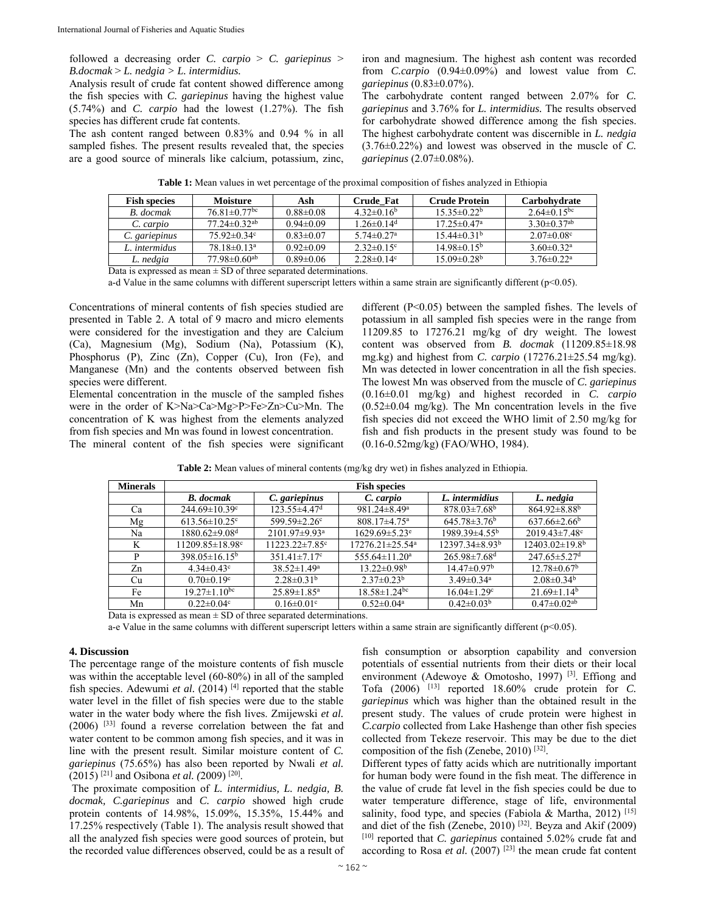followed a decreasing order *C. carpio* > *C. gariepinus* > *B.docmak* > *L. nedgia > L. intermidius.* 

Analysis result of crude fat content showed difference among the fish species with *C. gariepinus* having the highest value (5.74%) and *C. carpio* had the lowest (1.27%). The fish species has different crude fat contents.

The ash content ranged between 0.83% and 0.94 % in all sampled fishes. The present results revealed that, the species are a good source of minerals like calcium, potassium, zinc, iron and magnesium. The highest ash content was recorded from *C.carpio* (0.94±0.09%) and lowest value from *C. gariepinus* (0.83±0.07%).

The carbohydrate content ranged between 2.07% for *C. gariepinus* and 3.76% for *L. intermidius.* The results observed for carbohydrate showed difference among the fish species. The highest carbohydrate content was discernible in *L. nedgia* (3.76±0.22%) and lowest was observed in the muscle of *C. gariepinus* (2.07±0.08%).

| <b>Table 1:</b> Mean values in wet percentage of the proximal composition of fishes analyzed in Ethiopia |                 |     |                  |                      |              |  |  |
|----------------------------------------------------------------------------------------------------------|-----------------|-----|------------------|----------------------|--------------|--|--|
| <b>Fish species</b>                                                                                      | <b>Moisture</b> | Ash | <b>Crude Fat</b> | <b>Crude Protein</b> | Carbohydrate |  |  |

| Fish species  | Moisture                       | Ash             | Crude Fat                    | Crude Protein                 | Carbohvdrate                 |
|---------------|--------------------------------|-----------------|------------------------------|-------------------------------|------------------------------|
| B. docmak     | $76.81 \pm 0.77$ <sup>bc</sup> | $0.88 \pm 0.08$ | $4.32\pm0.16^b$              | $15.35\pm0.22^b$              | $2.64\pm0.15^{bc}$           |
| C. carpio     | $77.24 \pm 0.32$ <sup>ab</sup> | $0.94\pm0.09$   | $1.26 \pm 0.14$ <sup>d</sup> | $17.25 \pm 0.47$ <sup>a</sup> | $3.30\pm0.37$ <sup>ab</sup>  |
| C. gariepinus | $75.92 \pm 0.34$ °             | $0.83 \pm 0.07$ | $5.74 \pm 0.27$ <sup>a</sup> | $15.44\pm0.31b$               | $2.07 \pm 0.08$ <sup>c</sup> |
| L. intermidus | $78.18 \pm 0.13$ <sup>a</sup>  | $0.92\pm0.09$   | $2.32 \pm 0.15$ <sup>c</sup> | $14.98\pm0.15^{\rm b}$        | $3.60 \pm 0.32$ <sup>a</sup> |
| L. nedgia     | $77.98 \pm 0.60$ <sup>ab</sup> | $0.89 \pm 0.06$ | $2.28 \pm 0.14$ °            | $15.09 \pm 0.28$ <sup>b</sup> | $3.76 \pm 0.22^a$            |

Data is expressed as mean  $\pm$  SD of three separated determinations.

a-d Value in the same columns with different superscript letters within a same strain are significantly different ( $p<0.05$ ).

Concentrations of mineral contents of fish species studied are presented in Table 2. A total of 9 macro and micro elements were considered for the investigation and they are Calcium (Ca), Magnesium (Mg), Sodium (Na), Potassium (K), Phosphorus (P), Zinc (Zn), Copper (Cu), Iron (Fe), and Manganese (Mn) and the contents observed between fish species were different.

Elemental concentration in the muscle of the sampled fishes were in the order of K>Na>Ca>Mg>P>Fe>Zn>Cu>Mn. The concentration of K was highest from the elements analyzed from fish species and Mn was found in lowest concentration.

The mineral content of the fish species were significant

different (P<0.05) between the sampled fishes. The levels of potassium in all sampled fish species were in the range from 11209.85 to 17276.21 mg/kg of dry weight. The lowest content was observed from *B. docmak* (11209.85±18.98 mg.kg) and highest from *C. carpio* (17276.21±25.54 mg/kg). Mn was detected in lower concentration in all the fish species. The lowest Mn was observed from the muscle of *C. gariepinus*  (0.16±0.01 mg/kg) and highest recorded in *C. carpio* (0.52±0.04 mg/kg). The Mn concentration levels in the five fish species did not exceed the WHO limit of 2.50 mg/kg for fish and fish products in the present study was found to be (0.16-0.52mg/kg) (FAO/WHO, 1984).

**Table 2:** Mean values of mineral contents (mg/kg dry wet) in fishes analyzed in Ethiopia.

| <b>Minerals</b>    | <b>Fish species</b>                                     |                                                   |                                   |                                |                                  |  |  |  |
|--------------------|---------------------------------------------------------|---------------------------------------------------|-----------------------------------|--------------------------------|----------------------------------|--|--|--|
|                    | <b>B.</b> docmak                                        | C. gariepinus                                     | C. carpio                         | L. intermidius                 | L. nedgia                        |  |  |  |
| Ca                 | $244.69 \pm 10.39$ <sup>c</sup>                         | $123.55 \pm 4.47$ <sup>d</sup>                    | $981.24 \pm 8.49$ <sup>a</sup>    | $878.03 \pm 7.68^b$            | $864.92 \pm 8.88$ <sup>b</sup>   |  |  |  |
| Mg                 | $613.56 \pm 10.25$ <sup>c</sup>                         | 599.59±2.26 <sup>c</sup>                          | $808.17 \pm 4.75$ <sup>a</sup>    | $645.78 \pm 3.76^b$            | $637.66 \pm 2.66^b$              |  |  |  |
| Na                 | $1880.62 \pm 9.08$ <sup>d</sup>                         | 2101.97±9.93 <sup>a</sup>                         | $1629.69 \pm 5.23$ <sup>e</sup>   | $1989.39\pm4.55^{\rm b}$       | $2019.43 \pm 7.48$ °             |  |  |  |
| K                  | $11209.85 \pm 18.98$ °                                  | $11223.22 \pm 7.85$ °                             | $17276.21 \pm 25.54$ <sup>a</sup> | $12397.34 \pm 8.93^b$          | $12403.02 \pm 19.8$ <sup>b</sup> |  |  |  |
| P                  | $398.05 \pm 16.15^b$                                    | $351.41 \pm 7.17$ <sup>c</sup>                    | $555.64 \pm 11.20^a$              | $265.98 \pm 7.68$ <sup>d</sup> | $247.65 \pm 5.27$ <sup>d</sup>   |  |  |  |
| Zn                 | $4.34 \pm 0.43$ °                                       | $38.52 \pm 1.49^a$                                | $13.22 \pm 0.98^b$                | $14.47 \pm 0.97^b$             | $12.78 \pm 0.67^b$               |  |  |  |
| Cu                 | $0.70 \pm 0.19$ <sup>c</sup>                            | $2.28 \pm 0.31^b$                                 | $2.37 \pm 0.23^b$                 | $3.49 \pm 0.34$ <sup>a</sup>   | $2.08 \pm 0.34$ <sup>b</sup>     |  |  |  |
| Fe                 | $19.27 \pm 1.10^{bc}$                                   | $25.89 \pm 1.85$ <sup>a</sup>                     | $18.58 \pm 1.24$ <sup>bc</sup>    | $16.04 \pm 1.29$ <sup>c</sup>  | $21.69 \pm 1.14^b$               |  |  |  |
| Mn<br>$\mathbf{r}$ | $0.22 \pm 0.04$ °<br>$\sim$ $\sim$ $\sim$ $\sim$ $\sim$ | $0.16 \pm 0.01$ <sup>c</sup><br>$\cdots$ $\cdots$ | $0.52 \pm 0.04$ <sup>a</sup>      | $0.42 \pm 0.03^b$              | $0.47 \pm 0.02$ <sup>ab</sup>    |  |  |  |

Data is expressed as mean  $\pm$  SD of three separated determinations.

a-e Value in the same columns with different superscript letters within a same strain are significantly different  $(p<0.05)$ .

#### **4. Discussion**

The percentage range of the moisture contents of fish muscle was within the acceptable level (60-80%) in all of the sampled fish species. Adewumi *et al.* (2014)<sup>[4]</sup> reported that the stable water level in the fillet of fish species were due to the stable water in the water body where the fish lives. Zmijewski *et al.* (2006) [33] found a reverse correlation between the fat and water content to be common among fish species, and it was in line with the present result. Similar moisture content of *C. gariepinus* (75.65%) has also been reported by Nwali *et al.* (2015) [21] and Osibona *et al. (*2009) [20].

 The proximate composition of *L. intermidius, L. nedgia, B. docmak, C.gariepinus* and *C. carpio* showed high crude protein contents of 14.98%, 15.09%, 15.35%, 15.44% and 17.25% respectively (Table 1). The analysis result showed that all the analyzed fish species were good sources of protein, but the recorded value differences observed, could be as a result of fish consumption or absorption capability and conversion potentials of essential nutrients from their diets or their local environment (Adewoye & Omotosho, 1997)<sup>[3]</sup>. Effiong and Tofa (2006) [13] reported 18.60% crude protein for *C. gariepinus* which was higher than the obtained result in the present study. The values of crude protein were highest in *C.carpio* collected from Lake Hashenge than other fish species collected from Tekeze reservoir. This may be due to the diet composition of the fish (Zenebe, 2010)  $^{[32]}$ .

Different types of fatty acids which are nutritionally important for human body were found in the fish meat. The difference in the value of crude fat level in the fish species could be due to water temperature difference, stage of life, environmental salinity, food type, and species (Fabiola & Martha, 2012)  $[15]$ and diet of the fish (Zenebe, 2010)  $[32]$ . Beyza and Akif (2009) [10] reported that *C. gariepinus* contained 5.02% crude fat and according to Rosa *et al.* (2007)<sup>[23]</sup> the mean crude fat content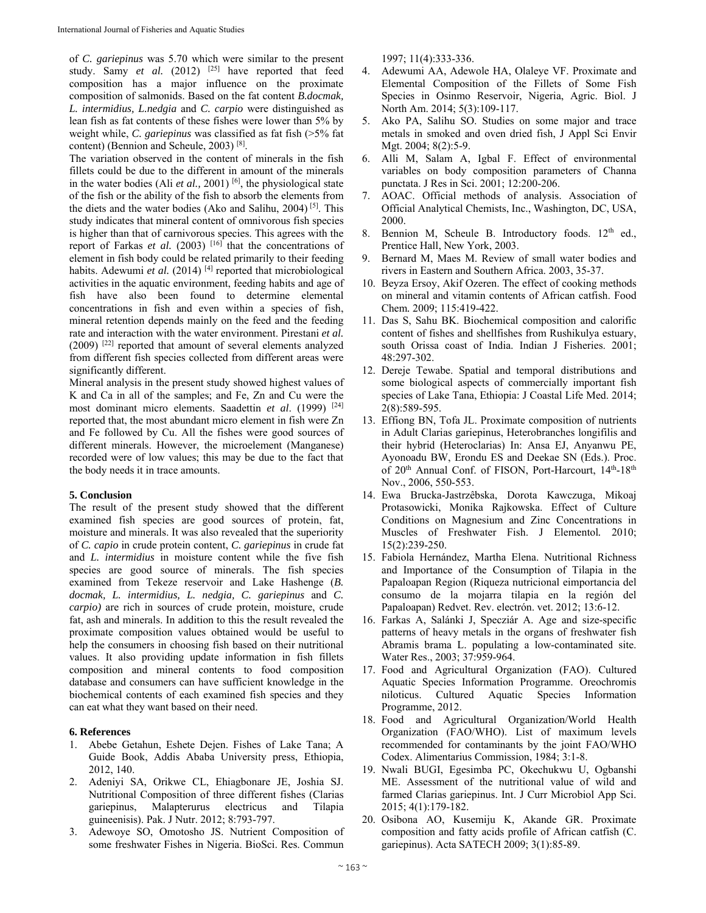of *C. gariepinus* was 5.70 which were similar to the present study. Samy *et al.* (2012) <sup>[25]</sup> have reported that feed composition has a major influence on the proximate composition of salmonids. Based on the fat content *B.docmak, L. intermidius, L.nedgia* and *C. carpio* were distinguished as lean fish as fat contents of these fishes were lower than 5% by weight while, *C. gariepinus* was classified as fat fish (>5% fat content) (Bennion and Scheule, 2003) [8].

The variation observed in the content of minerals in the fish fillets could be due to the different in amount of the minerals in the water bodies (Ali *et al.,* 2001) [6], the physiological state of the fish or the ability of the fish to absorb the elements from the diets and the water bodies (Ako and Salihu, 2004) [5]. This study indicates that mineral content of omnivorous fish species is higher than that of carnivorous species. This agrees with the report of Farkas *et al.* (2003)  $[16]$  that the concentrations of element in fish body could be related primarily to their feeding habits. Adewumi *et al.* (2014)<sup>[4]</sup> reported that microbiological activities in the aquatic environment, feeding habits and age of fish have also been found to determine elemental concentrations in fish and even within a species of fish, mineral retention depends mainly on the feed and the feeding rate and interaction with the water environment. Pirestani *et al.*  (2009) [22] reported that amount of several elements analyzed from different fish species collected from different areas were significantly different.

Mineral analysis in the present study showed highest values of K and Ca in all of the samples; and Fe, Zn and Cu were the most dominant micro elements. Saadettin *et al.* (1999)<sup>[24]</sup> reported that, the most abundant micro element in fish were Zn and Fe followed by Cu. All the fishes were good sources of different minerals. However, the microelement (Manganese) recorded were of low values; this may be due to the fact that the body needs it in trace amounts.

# **5. Conclusion**

The result of the present study showed that the different examined fish species are good sources of protein, fat, moisture and minerals. It was also revealed that the superiority of *C. capio* in crude protein content, *C. gariepinus* in crude fat and *L. intermidius* in moisture content while the five fish species are good source of minerals. The fish species examined from Tekeze reservoir and Lake Hashenge (*B. docmak, L. intermidius, L. nedgia, C. gariepinus* and *C. carpio)* are rich in sources of crude protein, moisture, crude fat, ash and minerals. In addition to this the result revealed the proximate composition values obtained would be useful to help the consumers in choosing fish based on their nutritional values. It also providing update information in fish fillets composition and mineral contents to food composition database and consumers can have sufficient knowledge in the biochemical contents of each examined fish species and they can eat what they want based on their need.

# **6. References**

- 1. Abebe Getahun, Eshete Dejen. Fishes of Lake Tana; A Guide Book, Addis Ababa University press, Ethiopia, 2012, 140.
- 2. Adeniyi SA, Orikwe CL, Ehiagbonare JE, Joshia SJ. Nutritional Composition of three different fishes (Clarias gariepinus, Malapterurus electricus and Tilapia guineenisis). Pak. J Nutr. 2012; 8:793-797.
- 3. Adewoye SO, Omotosho JS. Nutrient Composition of some freshwater Fishes in Nigeria. BioSci. Res. Commun

1997; 11(4):333-336.

- 4. Adewumi AA, Adewole HA, Olaleye VF. Proximate and Elemental Composition of the Fillets of Some Fish Species in Osinmo Reservoir, Nigeria, Agric. Biol. J North Am. 2014; 5(3):109-117.
- 5. Ako PA, Salihu SO. Studies on some major and trace metals in smoked and oven dried fish, J Appl Sci Envir Mgt. 2004; 8(2):5-9.
- 6. Alli M, Salam A, Igbal F. Effect of environmental variables on body composition parameters of Channa punctata. J Res in Sci. 2001; 12:200-206.
- 7. AOAC. Official methods of analysis. Association of Official Analytical Chemists, Inc., Washington, DC, USA, 2000.
- 8. Bennion M, Scheule B. Introductory foods. 12<sup>th</sup> ed., Prentice Hall, New York, 2003.
- Bernard M, Maes M. Review of small water bodies and rivers in Eastern and Southern Africa. 2003, 35-37.
- 10. Beyza Ersoy, Akif Ozeren. The effect of cooking methods on mineral and vitamin contents of African catfish. Food Chem*.* 2009; 115:419-422.
- 11. Das S, Sahu BK. Biochemical composition and calorific content of fishes and shellfishes from Rushikulya estuary, south Orissa coast of India. Indian J Fisheries. 2001; 48:297-302.
- 12. Dereje Tewabe. Spatial and temporal distributions and some biological aspects of commercially important fish species of Lake Tana, Ethiopia: J Coastal Life Med. 2014; 2(8):589-595.
- 13. Effiong BN, Tofa JL. Proximate composition of nutrients in Adult Clarias gariepinus, Heterobranches longifilis and their hybrid (Heteroclarias) In: Ansa EJ, Anyanwu PE, Ayonoadu BW, Erondu ES and Deekae SN (Eds.). Proc. of 20<sup>th</sup> Annual Conf. of FISON, Port-Harcourt, 14<sup>th</sup>-18<sup>th</sup> Nov., 2006, 550-553.
- 14. Ewa Brucka-Jastrzêbska, Dorota Kawczuga, Mikoaj Protasowicki, Monika Rajkowska. Effect of Culture Conditions on Magnesium and Zinc Concentrations in Muscles of Freshwater Fish. J Elementol*.* 2010; 15(2):239-250.
- 15. Fabiola Hernández, Martha Elena. Nutritional Richness and Importance of the Consumption of Tilapia in the Papaloapan Region (Riqueza nutricional eimportancia del consumo de la mojarra tilapia en la región del Papaloapan) Redvet. Rev. electrón. vet. 2012; 13:6-12.
- 16. Farkas A, Salánki J, Specziár A. Age and size-specific patterns of heavy metals in the organs of freshwater fish Abramis brama L. populating a low-contaminated site. Water Res., 2003; 37:959-964.
- 17. Food and Agricultural Organization (FAO). Cultured Aquatic Species Information Programme. Oreochromis niloticus. Cultured Aquatic Species Information Programme, 2012.
- 18. Food and Agricultural Organization/World Health Organization (FAO/WHO). List of maximum levels recommended for contaminants by the joint FAO/WHO Codex. Alimentarius Commission, 1984; 3:1-8.
- 19. Nwali BUGI, Egesimba PC, Okechukwu U, Ogbanshi ME. Assessment of the nutritional value of wild and farmed Clarias gariepinus. Int. J Curr Microbiol App Sci. 2015; 4(1):179-182.
- 20. Osibona AO, Kusemiju K, Akande GR. Proximate composition and fatty acids profile of African catfish (C. gariepinus). Acta SATECH 2009; 3(1):85-89.